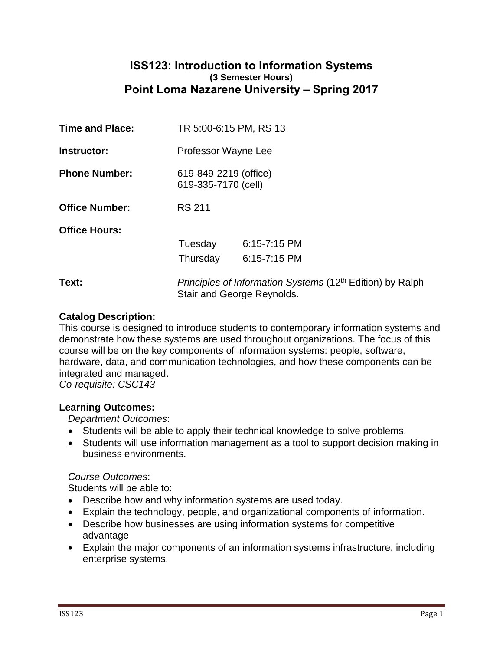# **ISS123: Introduction to Information Systems (3 Semester Hours) Point Loma Nazarene University – Spring 2017**

| <b>Time and Place:</b> | TR 5:00-6:15 PM, RS 13                                                                  |                  |  |  |
|------------------------|-----------------------------------------------------------------------------------------|------------------|--|--|
| Instructor:            | Professor Wayne Lee                                                                     |                  |  |  |
| <b>Phone Number:</b>   | 619-849-2219 (office)<br>619-335-7170 (cell)                                            |                  |  |  |
| <b>Office Number:</b>  | <b>RS 211</b>                                                                           |                  |  |  |
| <b>Office Hours:</b>   |                                                                                         |                  |  |  |
|                        | Tuesday                                                                                 | $6:15 - 7:15$ PM |  |  |
|                        | Thursday                                                                                | $6:15 - 7:15$ PM |  |  |
| Text:                  | Principles of Information Systems (12th Edition) by Ralph<br>Stair and George Reynolds. |                  |  |  |

#### **Catalog Description:**

This course is designed to introduce students to contemporary information systems and demonstrate how these systems are used throughout organizations. The focus of this course will be on the key components of information systems: people, software, hardware, data, and communication technologies, and how these components can be integrated and managed.

*Co-requisite: CSC143*

#### **Learning Outcomes:**

*Department Outcomes*:

- Students will be able to apply their technical knowledge to solve problems.
- Students will use information management as a tool to support decision making in business environments.

#### *Course Outcomes*:

Students will be able to:

- Describe how and why information systems are used today.
- Explain the technology, people, and organizational components of information.
- Describe how businesses are using information systems for competitive advantage
- Explain the major components of an information systems infrastructure, including enterprise systems.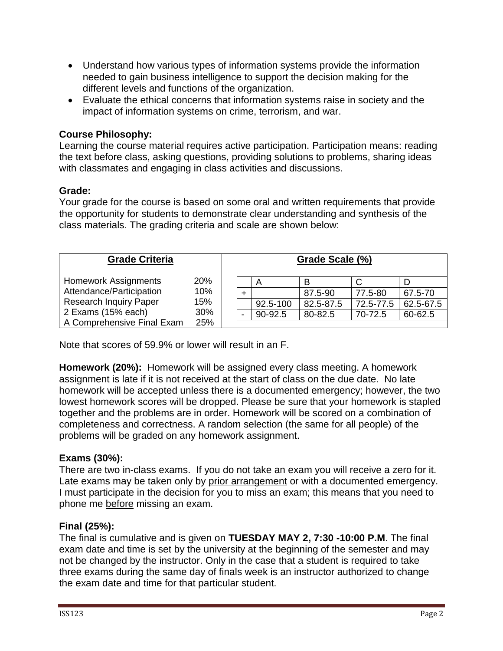- Understand how various types of information systems provide the information needed to gain business intelligence to support the decision making for the different levels and functions of the organization.
- Evaluate the ethical concerns that information systems raise in society and the impact of information systems on crime, terrorism, and war.

# **Course Philosophy:**

Learning the course material requires active participation. Participation means: reading the text before class, asking questions, providing solutions to problems, sharing ideas with classmates and engaging in class activities and discussions.

#### **Grade:**

Your grade for the course is based on some oral and written requirements that provide the opportunity for students to demonstrate clear understanding and synthesis of the class materials. The grading criteria and scale are shown below:

| <b>Grade Criteria</b>         |     |  |                         | Grade Scale (%) |           |           |
|-------------------------------|-----|--|-------------------------|-----------------|-----------|-----------|
| <b>Homework Assignments</b>   | 20% |  | $\overline{\mathsf{A}}$ | В               |           |           |
| Attendance/Participation      | 10% |  |                         | 87.5-90         | 77.5-80   | 67.5-70   |
| <b>Research Inquiry Paper</b> | 15% |  | 92.5-100                | 82.5-87.5       | 72.5-77.5 | 62.5-67.5 |
| 2 Exams (15% each)            | 30% |  | 90-92.5                 | 80-82.5         | 70-72.5   | 60-62.5   |
| A Comprehensive Final Exam    | 25% |  |                         |                 |           |           |

Note that scores of 59.9% or lower will result in an F.

**Homework (20%):** Homework will be assigned every class meeting. A homework assignment is late if it is not received at the start of class on the due date. No late homework will be accepted unless there is a documented emergency; however, the two lowest homework scores will be dropped. Please be sure that your homework is stapled together and the problems are in order. Homework will be scored on a combination of completeness and correctness. A random selection (the same for all people) of the problems will be graded on any homework assignment.

## **Exams (30%):**

There are two in-class exams. If you do not take an exam you will receive a zero for it. Late exams may be taken only by prior arrangement or with a documented emergency. I must participate in the decision for you to miss an exam; this means that you need to phone me before missing an exam.

## **Final (25%):**

The final is cumulative and is given on **TUESDAY MAY 2, 7:30 -10:00 P.M**. The final exam date and time is set by the university at the beginning of the semester and may not be changed by the instructor. Only in the case that a student is required to take three exams during the same day of finals week is an instructor authorized to change the exam date and time for that particular student.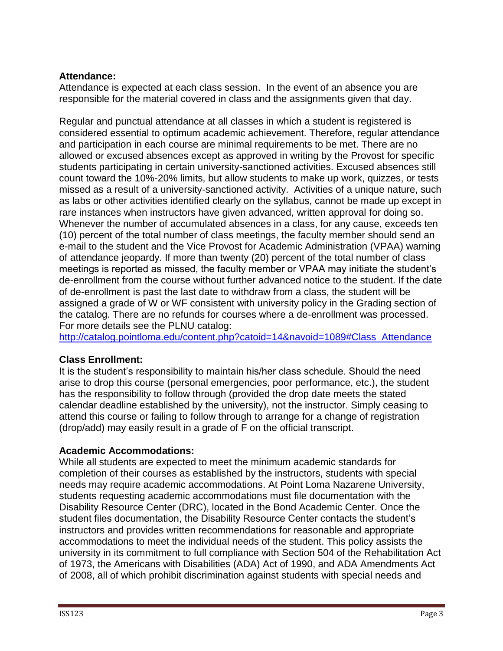# **Attendance:**

Attendance is expected at each class session. In the event of an absence you are responsible for the material covered in class and the assignments given that day.

Regular and punctual attendance at all classes in which a student is registered is considered essential to optimum academic achievement. Therefore, regular attendance and participation in each course are minimal requirements to be met. There are no allowed or excused absences except as approved in writing by the Provost for specific students participating in certain university-sanctioned activities. Excused absences still count toward the 10%-20% limits, but allow students to make up work, quizzes, or tests missed as a result of a university-sanctioned activity. Activities of a unique nature, such as labs or other activities identified clearly on the syllabus, cannot be made up except in rare instances when instructors have given advanced, written approval for doing so. Whenever the number of accumulated absences in a class, for any cause, exceeds ten (10) percent of the total number of class meetings, the faculty member should send an e-mail to the student and the Vice Provost for Academic Administration (VPAA) warning of attendance jeopardy. If more than twenty (20) percent of the total number of class meetings is reported as missed, the faculty member or VPAA may initiate the student's de-enrollment from the course without further advanced notice to the student. If the date of de-enrollment is past the last date to withdraw from a class, the student will be assigned a grade of W or WF consistent with university policy in the Grading section of the catalog. There are no refunds for courses where a de-enrollment was processed. For more details see the PLNU catalog:

[http://catalog.pointloma.edu/content.php?catoid=14&navoid=1089#Class\\_Attendance](http://catalog.pointloma.edu/content.php?catoid=14&navoid=1089#Class_Attendance)

## **Class Enrollment:**

It is the student's responsibility to maintain his/her class schedule. Should the need arise to drop this course (personal emergencies, poor performance, etc.), the student has the responsibility to follow through (provided the drop date meets the stated calendar deadline established by the university), not the instructor. Simply ceasing to attend this course or failing to follow through to arrange for a change of registration (drop/add) may easily result in a grade of F on the official transcript.

## **Academic Accommodations:**

While all students are expected to meet the minimum academic standards for completion of their courses as established by the instructors, students with special needs may require academic accommodations. At Point Loma Nazarene University, students requesting academic accommodations must file documentation with the Disability Resource Center (DRC), located in the Bond Academic Center. Once the student files documentation, the Disability Resource Center contacts the student's instructors and provides written recommendations for reasonable and appropriate accommodations to meet the individual needs of the student. This policy assists the university in its commitment to full compliance with Section 504 of the Rehabilitation Act of 1973, the Americans with Disabilities (ADA) Act of 1990, and ADA Amendments Act of 2008, all of which prohibit discrimination against students with special needs and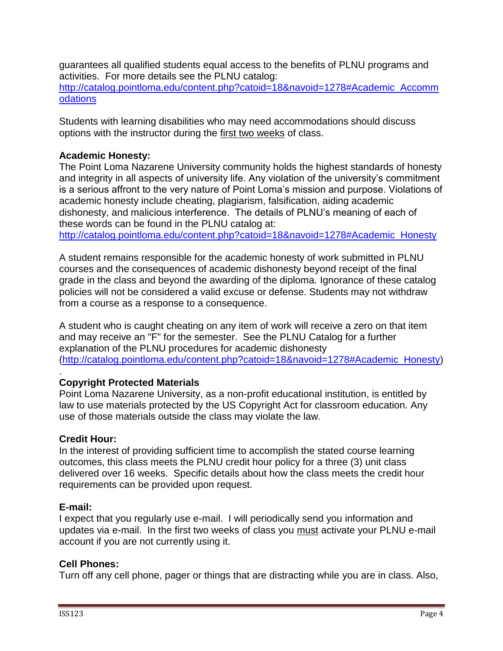guarantees all qualified students equal access to the benefits of PLNU programs and activities. For more details see the PLNU catalog: [http://catalog.pointloma.edu/content.php?catoid=18&navoid=1278#Academic\\_Accomm](http://catalog.pointloma.edu/content.php?catoid=18&navoid=1278#Academic_Accommodations) [odations](http://catalog.pointloma.edu/content.php?catoid=18&navoid=1278#Academic_Accommodations)

Students with learning disabilities who may need accommodations should discuss options with the instructor during the first two weeks of class.

## **Academic Honesty:**

The Point Loma Nazarene University community holds the highest standards of honesty and integrity in all aspects of university life. Any violation of the university's commitment is a serious affront to the very nature of Point Loma's mission and purpose. Violations of academic honesty include cheating, plagiarism, falsification, aiding academic dishonesty, and malicious interference. The details of PLNU's meaning of each of these words can be found in the PLNU catalog at:

[http://catalog.pointloma.edu/content.php?catoid=18&navoid=1278#Academic\\_Honesty](http://catalog.pointloma.edu/content.php?catoid=18&navoid=1278#Academic_Honesty)

A student remains responsible for the academic honesty of work submitted in PLNU courses and the consequences of academic dishonesty beyond receipt of the final grade in the class and beyond the awarding of the diploma. Ignorance of these catalog policies will not be considered a valid excuse or defense. Students may not withdraw from a course as a response to a consequence.

A student who is caught cheating on any item of work will receive a zero on that item and may receive an "F" for the semester. See the PLNU Catalog for a further explanation of the PLNU procedures for academic dishonesty [\(http://catalog.pointloma.edu/content.php?catoid=18&navoid=1278#Academic\\_Honesty\)](http://catalog.pointloma.edu/content.php?catoid=18&navoid=1278#Academic_Honesty)

#### . **Copyright Protected Materials**

Point Loma Nazarene University, as a non-profit educational institution, is entitled by law to use materials protected by the US Copyright Act for classroom education. Any use of those materials outside the class may violate the law.

## **Credit Hour:**

In the interest of providing sufficient time to accomplish the stated course learning outcomes, this class meets the PLNU credit hour policy for a three (3) unit class delivered over 16 weeks. Specific details about how the class meets the credit hour requirements can be provided upon request.

## **E-mail:**

I expect that you regularly use e-mail. I will periodically send you information and updates via e-mail. In the first two weeks of class you must activate your PLNU e-mail account if you are not currently using it.

## **Cell Phones:**

Turn off any cell phone, pager or things that are distracting while you are in class. Also,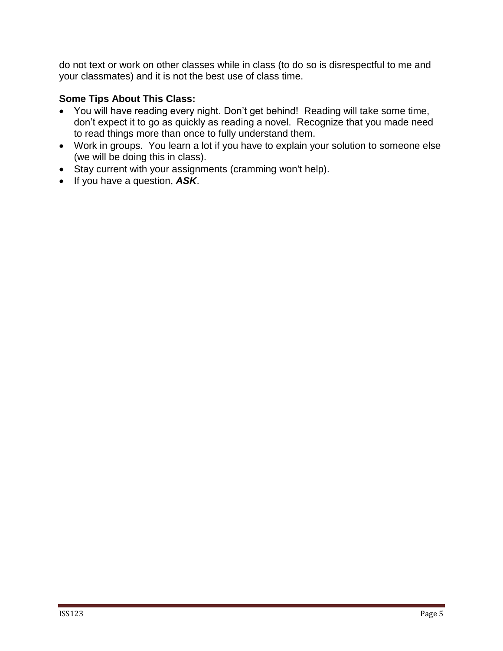do not text or work on other classes while in class (to do so is disrespectful to me and your classmates) and it is not the best use of class time.

# **Some Tips About This Class:**

- You will have reading every night. Don't get behind! Reading will take some time, don't expect it to go as quickly as reading a novel. Recognize that you made need to read things more than once to fully understand them.
- Work in groups. You learn a lot if you have to explain your solution to someone else (we will be doing this in class).
- Stay current with your assignments (cramming won't help).
- If you have a question, *ASK*.